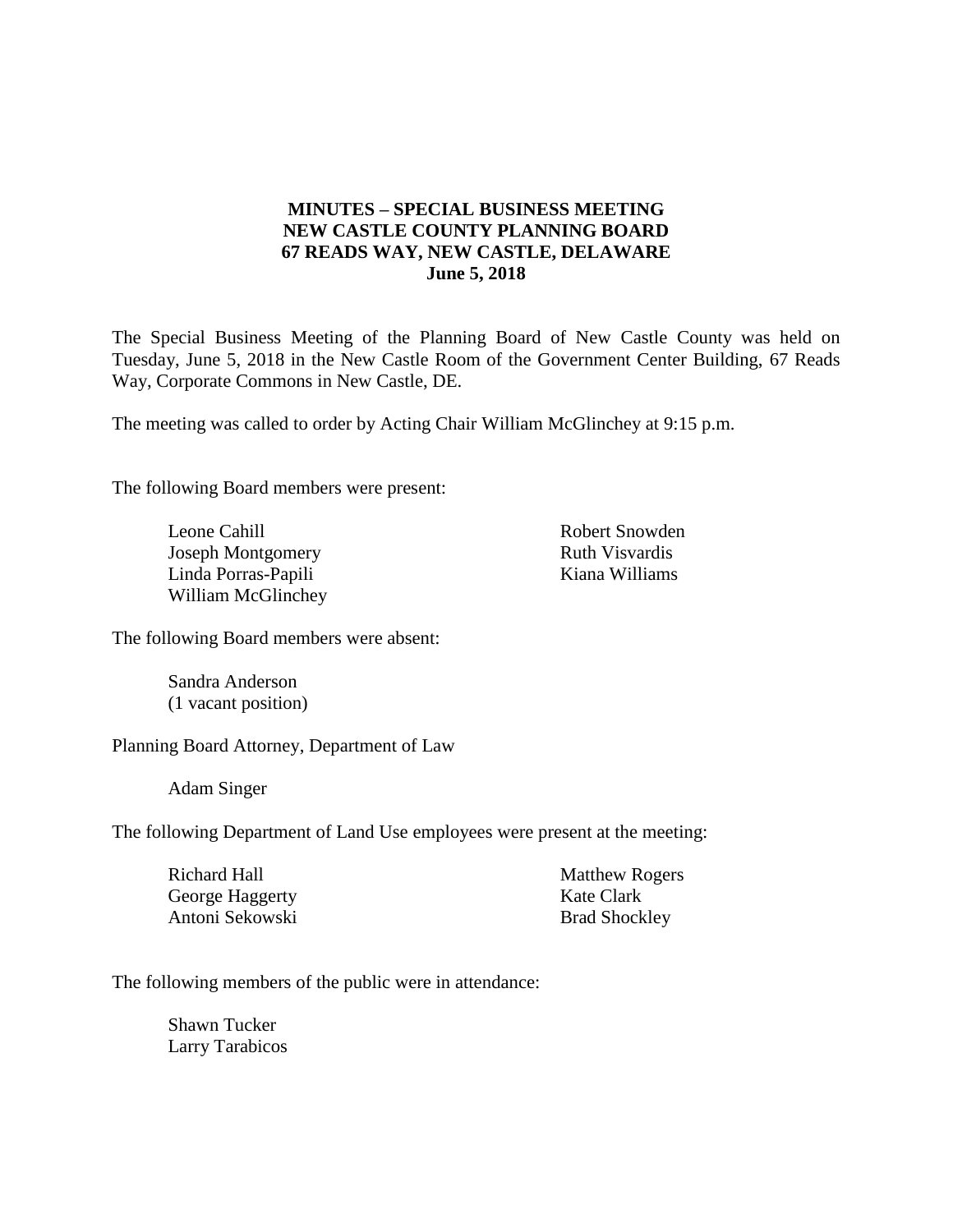# **MINUTES – SPECIAL BUSINESS MEETING NEW CASTLE COUNTY PLANNING BOARD 67 READS WAY, NEW CASTLE, DELAWARE June 5, 2018**

The Special Business Meeting of the Planning Board of New Castle County was held on Tuesday, June 5, 2018 in the New Castle Room of the Government Center Building, 67 Reads Way, Corporate Commons in New Castle, DE.

The meeting was called to order by Acting Chair William McGlinchey at 9:15 p.m.

The following Board members were present:

Leone Cahill Joseph Montgomery Linda Porras-Papili William McGlinchey Robert Snowden Ruth Visvardis Kiana Williams

The following Board members were absent:

Sandra Anderson (1 vacant position)

Planning Board Attorney, Department of Law

Adam Singer

The following Department of Land Use employees were present at the meeting:

| Richard Hall    | <b>Matthew Rogers</b> |
|-----------------|-----------------------|
| George Haggerty | Kate Clark            |
| Antoni Sekowski | <b>Brad Shockley</b>  |

The following members of the public were in attendance:

Shawn Tucker Larry Tarabicos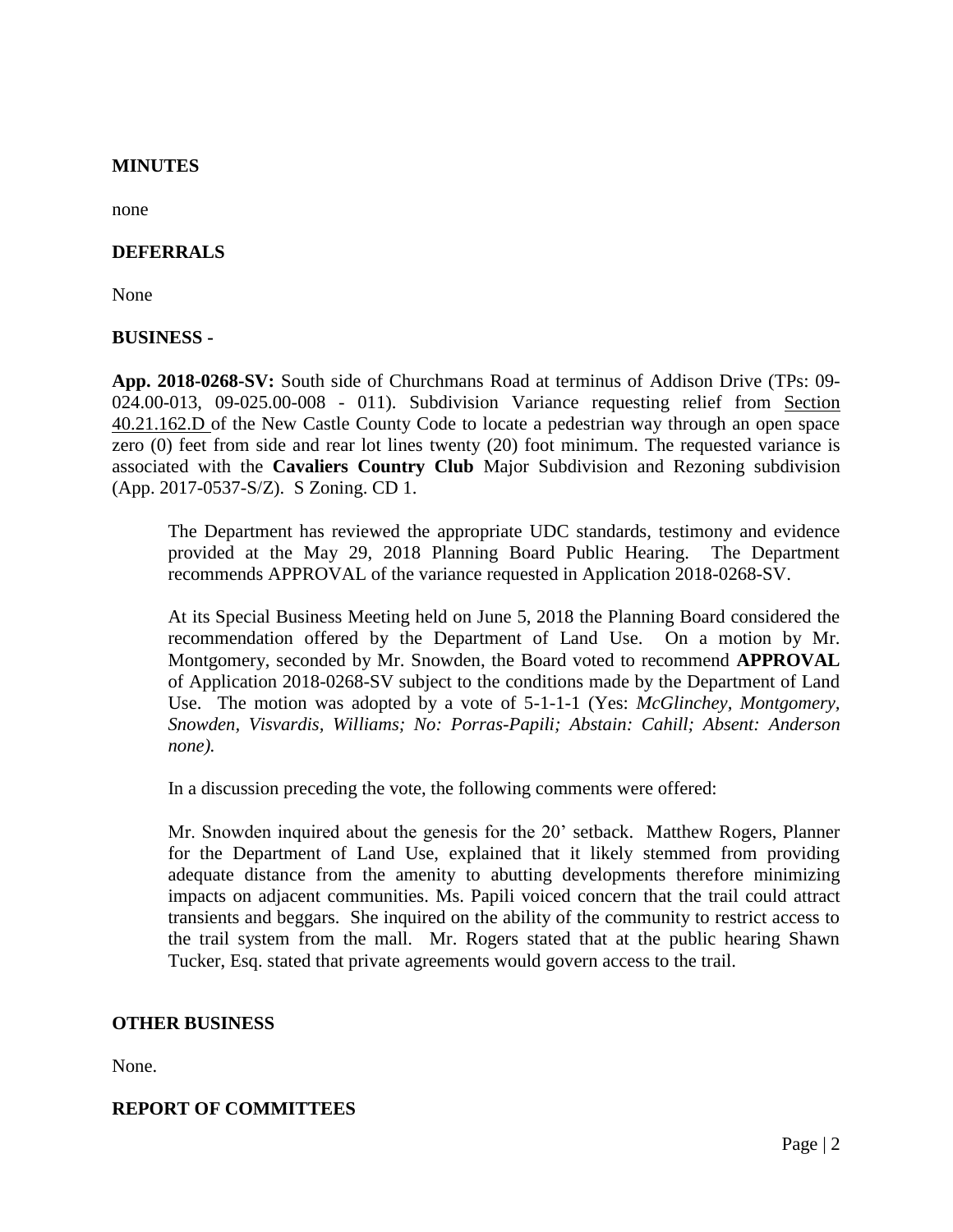## **MINUTES**

none

### **DEFERRALS**

None

### **BUSINESS -**

**App. 2018-0268-SV:** South side of Churchmans Road at terminus of Addison Drive (TPs: 09- 024.00-013, 09-025.00-008 - 011). Subdivision Variance requesting relief from Section 40.21.162.D of the New Castle County Code to locate a pedestrian way through an open space zero (0) feet from side and rear lot lines twenty (20) foot minimum. The requested variance is associated with the **Cavaliers Country Club** Major Subdivision and Rezoning subdivision (App. 2017-0537-S/Z). S Zoning. CD 1.

The Department has reviewed the appropriate UDC standards, testimony and evidence provided at the May 29, 2018 Planning Board Public Hearing. The Department recommends APPROVAL of the variance requested in Application 2018-0268-SV.

At its Special Business Meeting held on June 5, 2018 the Planning Board considered the recommendation offered by the Department of Land Use. On a motion by Mr. Montgomery, seconded by Mr. Snowden, the Board voted to recommend **APPROVAL** of Application 2018-0268-SV subject to the conditions made by the Department of Land Use. The motion was adopted by a vote of 5-1-1-1 (Yes: *McGlinchey, Montgomery, Snowden, Visvardis, Williams; No: Porras-Papili; Abstain: Cahill; Absent: Anderson none).*

In a discussion preceding the vote, the following comments were offered:

Mr. Snowden inquired about the genesis for the 20' setback. Matthew Rogers, Planner for the Department of Land Use, explained that it likely stemmed from providing adequate distance from the amenity to abutting developments therefore minimizing impacts on adjacent communities. Ms. Papili voiced concern that the trail could attract transients and beggars. She inquired on the ability of the community to restrict access to the trail system from the mall. Mr. Rogers stated that at the public hearing Shawn Tucker, Esq. stated that private agreements would govern access to the trail.

### **OTHER BUSINESS**

None.

### **REPORT OF COMMITTEES**